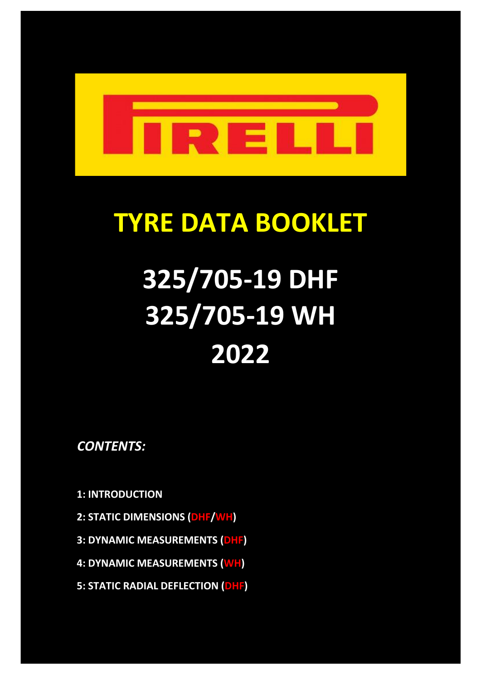

# **TYRE DATA BOOKLET**

# **325/705-19 DHF 325/705-19 WH 2022**

*CONTENTS:*

**1: INTRODUCTION**

- **2: STATIC DIMENSIONS (DHF/WH)**
- **3: DYNAMIC MEASUREMENTS (DHF)**
- **4: DYNAMIC MEASUREMENTS (WH)**
- **5: STATIC RADIAL DEFLECTION (DHF)**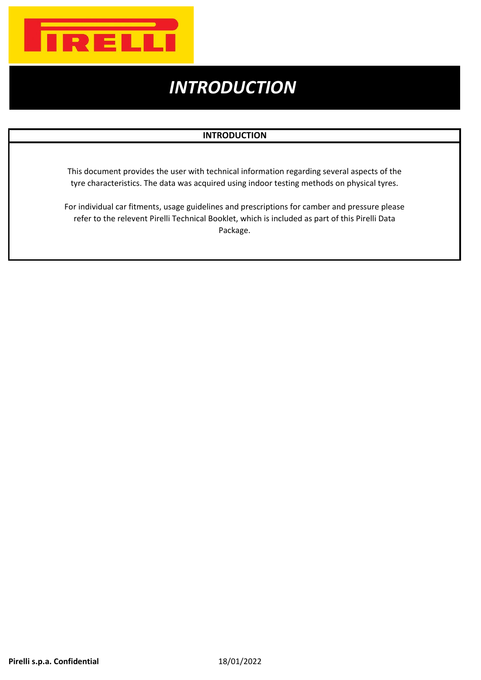

### *INTRODUCTION*

#### **INTRODUCTION**

This document provides the user with technical information regarding several aspects of the tyre characteristics. The data was acquired using indoor testing methods on physical tyres.

For individual car fitments, usage guidelines and prescriptions for camber and pressure please refer to the relevent Pirelli Technical Booklet, which is included as part of this Pirelli Data Package.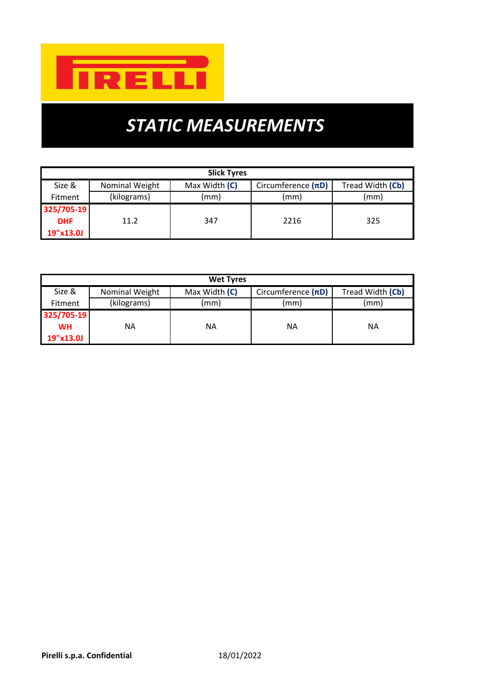

## *STATIC MEASUREMENTS*

| <b>Slick Tyres</b>     |                |               |                         |      |  |  |  |  |  |
|------------------------|----------------|---------------|-------------------------|------|--|--|--|--|--|
| Size &                 | Nominal Weight | Max Width (C) | Circumference $(\pi D)$ |      |  |  |  |  |  |
| (kilograms)<br>Fitment |                | (mm)          | (mm)                    | (mm) |  |  |  |  |  |
| 325/705-19             |                |               |                         |      |  |  |  |  |  |
| <b>DHF</b>             | 11.2           | 347           | 2216                    | 325  |  |  |  |  |  |
| 19"x13.0J              |                |               |                         |      |  |  |  |  |  |

| <b>Wet Tyres</b> |                |               |                      |                  |  |  |  |  |  |
|------------------|----------------|---------------|----------------------|------------------|--|--|--|--|--|
| Size &           | Nominal Weight | Max Width (C) | Circumference $(nD)$ | Tread Width (Cb) |  |  |  |  |  |
| <b>Fitment</b>   | (kilograms)    | (mm)          | (mm)                 | (mm)             |  |  |  |  |  |
| 325/705-19       |                |               |                      |                  |  |  |  |  |  |
| <b>WH</b>        | ΝA             | ΝA            | ΝA                   | ΝA               |  |  |  |  |  |
| 19"x13.0J        |                |               |                      |                  |  |  |  |  |  |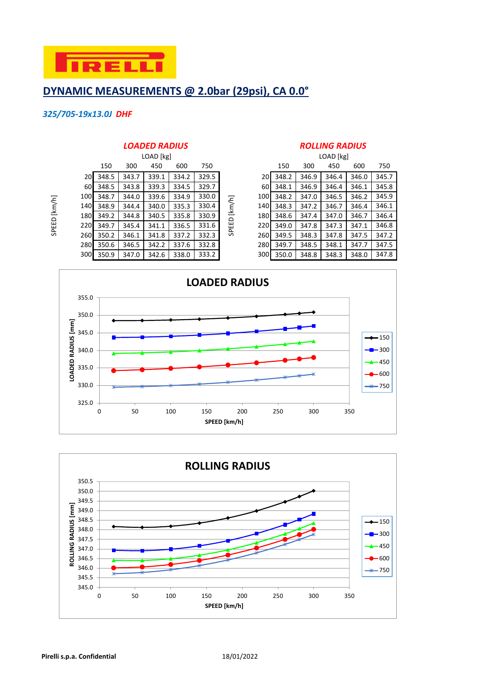

#### **DYNAMIC MEASUREMENTS @ 2.0bar (29psi), CA 0.0°**

#### *325/705-19x13.0J DHF*

SPEED [km/h]

SPEED [km/h]

|           |       |       | LOAD [kg] |       |       |        |                  | LOAD [kg] |       |       |       |       |
|-----------|-------|-------|-----------|-------|-------|--------|------------------|-----------|-------|-------|-------|-------|
|           | 150   | 300   | 450       | 600   | 750   |        |                  | 150       | 300   | 450   | 600   | 750   |
| <b>20</b> | 348.5 | 343.7 | 339.1     | 334.2 | 329.5 |        | 20I              | 348.2     | 346.9 | 346.4 | 346.0 | 345.7 |
| 60        | 348.5 | 343.8 | 339.3     | 334.5 | 329.7 |        | 60               | 348.1     | 346.9 | 346.4 | 346.1 | 345.8 |
| 100       | 348.7 | 344.0 | 339.6     | 334.9 | 330.0 |        | 100 <sub>1</sub> | 348.2     | 347.0 | 346.5 | 346.2 | 345.9 |
| 140       | 348.9 | 344.4 | 340.0     | 335.3 | 330.4 | [km/h] | 140 <b>1</b>     | 348.3     | 347.2 | 346.7 | 346.4 | 346.1 |
| 180       | 349.2 | 344.8 | 340.5     | 335.8 | 330.9 |        | 180              | 348.6     | 347.4 | 347.0 | 346.7 | 346.4 |
| 220       | 349.7 | 345.4 | 341.1     | 336.5 | 331.6 | SPEED  | 220              | 349.0     | 347.8 | 347.3 | 347.1 | 346.8 |
| 260       | 350.2 | 346.1 | 341.8     | 337.2 | 332.3 |        | <b>260</b>       | 349.5     | 348.3 | 347.8 | 347.5 | 347.2 |
| 280       | 350.6 | 346.5 | 342.2     | 337.6 | 332.8 |        | <b>280</b>       | 349.7     | 348.5 | 348.1 | 347.7 | 347.5 |
| 300       | 350.9 | 347.0 | 342.6     | 338.0 | 333.2 |        | 300              | 350.0     | 348.8 | 348.3 | 348.0 | 347.8 |

#### *LOADED RADIUS ROLLING RADIUS*

|      | LOAD [kg] |       |       |       |       |  |  |  |  |  |  |
|------|-----------|-------|-------|-------|-------|--|--|--|--|--|--|
|      | 150       | 300   | 450   | 600   | 750   |  |  |  |  |  |  |
| 20   | 348.2     | 346.9 | 346.4 | 346.0 | 345.7 |  |  |  |  |  |  |
| 60   | 348.1     | 346.9 | 346.4 | 346.1 | 345.8 |  |  |  |  |  |  |
| 100  | 348.2     | 347.0 | 346.5 | 346.2 | 345.9 |  |  |  |  |  |  |
| 140  | 348.3     | 347.2 | 346.7 | 346.4 | 346.1 |  |  |  |  |  |  |
| 180l | 348.6     | 347.4 | 347.0 | 346.7 | 346.4 |  |  |  |  |  |  |
| 220I | 349.0     | 347.8 | 347.3 | 347.1 | 346.8 |  |  |  |  |  |  |
| 260l | 349.5     | 348.3 | 347.8 | 347.5 | 347.2 |  |  |  |  |  |  |
| 280  | 349.7     | 348.5 | 348.1 | 347.7 | 347.5 |  |  |  |  |  |  |
| 300  | 350.0     | 348.8 | 348.3 | 348.0 | 347.8 |  |  |  |  |  |  |



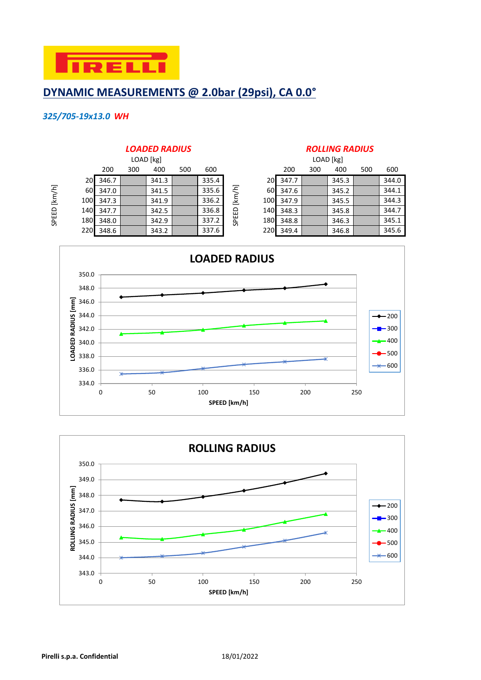

#### **DYNAMIC MEASUREMENTS @ 2.0bar (29psi), CA 0.0°**

#### *325/705-19x13.0 WH*

#### 200 300 400 500 600 200 300 400 500 600 20 346.7 346.7 341.3 335.4 20 347.7 345.3 345.3 60 347.0 341.5 335.6  $\leq$  60 347.6 345.2 344.1 100 347.3 341.9 336.2 100 347.9 345.5 344.3 140 347.7 | 342.5 | 336.8 <del>| 336.8 | 348.3 | 345.8 | 344.7</del> 180 348.0 342.9 342.9 337.2  $\frac{8}{6}$  348.8 346.3 346.3 345.1 SPEED [km/h] LOAD [kg]

#### *LOADED RADIUS ROLLING RADIUS*

|                 | LOAD [kg] |     |       |     |       |            |              | LOAD [kg] |     |       |     |       |
|-----------------|-----------|-----|-------|-----|-------|------------|--------------|-----------|-----|-------|-----|-------|
|                 | 200       | 300 | 400   | 500 | 600   |            |              | 200       | 300 | 400   | 500 | 600   |
| 20 <sup>1</sup> | 346.7     |     | 341.3 |     | 335.4 |            | 20           | 347.7     |     | 345.3 |     | 344.0 |
| 60I             | 347.0     |     | 341.5 |     | 335.6 | [km/h]     | 60           | 347.6     |     | 345.2 |     | 344.1 |
| 100 <b>1</b>    | 347.3     |     | 341.9 |     | 336.2 |            | 100          | 347.9     |     | 345.5 |     | 344.3 |
| 140I            | 347.7     |     | 342.5 |     | 336.8 | 읎          | 140 <b>1</b> | 348.3     |     | 345.8 |     | 344.7 |
| 180             | 348.0     |     | 342.9 |     | 337.2 | <b>SPE</b> | <b>180</b>   | 348.8     |     | 346.3 |     | 345.1 |
| 220             | 348.6     |     | 343.2 |     | 337.6 |            | 220          | 349.4     |     | 346.8 |     | 345.6 |



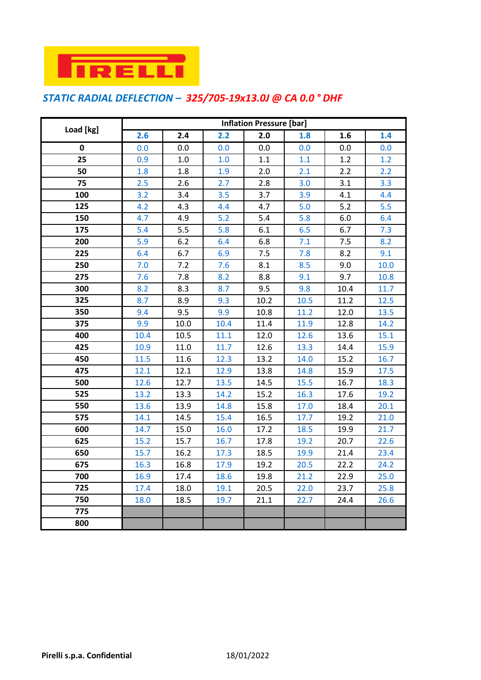

#### *STATIC RADIAL DEFLECTION – 325/705-19x13.0J @ CA 0.0 ° DHF*

|           | <b>Inflation Pressure [bar]</b> |      |      |      |      |      |      |  |  |
|-----------|---------------------------------|------|------|------|------|------|------|--|--|
| Load [kg] | 2.6                             | 2.4  | 2.2  | 2.0  | 1.8  | 1.6  | 1.4  |  |  |
| 0         | 0.0                             | 0.0  | 0.0  | 0.0  | 0.0  | 0.0  | 0.0  |  |  |
| 25        | 0.9                             | 1.0  | 1.0  | 1.1  | 1.1  | 1.2  | 1.2  |  |  |
| 50        | 1.8                             | 1.8  | 1.9  | 2.0  | 2.1  | 2.2  | 2.2  |  |  |
| 75        | 2.5                             | 2.6  | 2.7  | 2.8  | 3.0  | 3.1  | 3.3  |  |  |
| 100       | 3.2                             | 3.4  | 3.5  | 3.7  | 3.9  | 4.1  | 4.4  |  |  |
| 125       | 4.2                             | 4.3  | 4.4  | 4.7  | 5.0  | 5.2  | 5.5  |  |  |
| 150       | 4.7                             | 4.9  | 5.2  | 5.4  | 5.8  | 6.0  | 6.4  |  |  |
| 175       | 5.4                             | 5.5  | 5.8  | 6.1  | 6.5  | 6.7  | 7.3  |  |  |
| 200       | 5.9                             | 6.2  | 6.4  | 6.8  | 7.1  | 7.5  | 8.2  |  |  |
| 225       | 6.4                             | 6.7  | 6.9  | 7.5  | 7.8  | 8.2  | 9.1  |  |  |
| 250       | 7.0                             | 7.2  | 7.6  | 8.1  | 8.5  | 9.0  | 10.0 |  |  |
| 275       | 7.6                             | 7.8  | 8.2  | 8.8  | 9.1  | 9.7  | 10.8 |  |  |
| 300       | 8.2                             | 8.3  | 8.7  | 9.5  | 9.8  | 10.4 | 11.7 |  |  |
| 325       | 8.7                             | 8.9  | 9.3  | 10.2 | 10.5 | 11.2 | 12.5 |  |  |
| 350       | 9.4                             | 9.5  | 9.9  | 10.8 | 11.2 | 12.0 | 13.5 |  |  |
| 375       | 9.9                             | 10.0 | 10.4 | 11.4 | 11.9 | 12.8 | 14.2 |  |  |
| 400       | 10.4                            | 10.5 | 11.1 | 12.0 | 12.6 | 13.6 | 15.1 |  |  |
| 425       | 10.9                            | 11.0 | 11.7 | 12.6 | 13.3 | 14.4 | 15.9 |  |  |
| 450       | 11.5                            | 11.6 | 12.3 | 13.2 | 14.0 | 15.2 | 16.7 |  |  |
| 475       | 12.1                            | 12.1 | 12.9 | 13.8 | 14.8 | 15.9 | 17.5 |  |  |
| 500       | 12.6                            | 12.7 | 13.5 | 14.5 | 15.5 | 16.7 | 18.3 |  |  |
| 525       | 13.2                            | 13.3 | 14.2 | 15.2 | 16.3 | 17.6 | 19.2 |  |  |
| 550       | 13.6                            | 13.9 | 14.8 | 15.8 | 17.0 | 18.4 | 20.1 |  |  |
| 575       | 14.1                            | 14.5 | 15.4 | 16.5 | 17.7 | 19.2 | 21.0 |  |  |
| 600       | 14.7                            | 15.0 | 16.0 | 17.2 | 18.5 | 19.9 | 21.7 |  |  |
| 625       | 15.2                            | 15.7 | 16.7 | 17.8 | 19.2 | 20.7 | 22.6 |  |  |
| 650       | 15.7                            | 16.2 | 17.3 | 18.5 | 19.9 | 21.4 | 23.4 |  |  |
| 675       | 16.3                            | 16.8 | 17.9 | 19.2 | 20.5 | 22.2 | 24.2 |  |  |
| 700       | 16.9                            | 17.4 | 18.6 | 19.8 | 21.2 | 22.9 | 25.0 |  |  |
| 725       | 17.4                            | 18.0 | 19.1 | 20.5 | 22.0 | 23.7 | 25.8 |  |  |
| 750       | 18.0                            | 18.5 | 19.7 | 21.1 | 22.7 | 24.4 | 26.6 |  |  |
| 775       |                                 |      |      |      |      |      |      |  |  |
| 800       |                                 |      |      |      |      |      |      |  |  |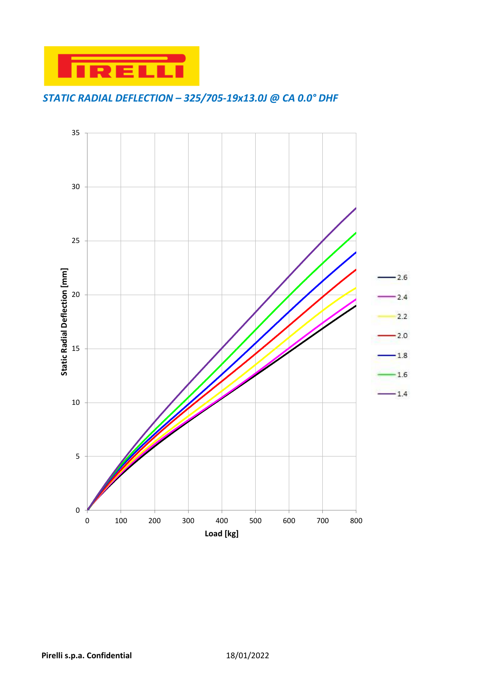

### *STATIC RADIAL DEFLECTION – 325/705-19x13.0J @ CA 0.0° DHF*

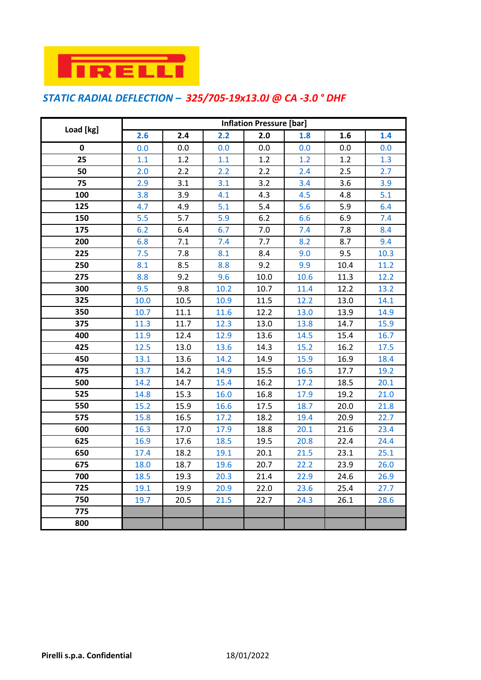

#### *STATIC RADIAL DEFLECTION – 325/705-19x13.0J @ CA -3.0 ° DHF*

|           | <b>Inflation Pressure [bar]</b> |      |      |      |      |      |      |  |  |
|-----------|---------------------------------|------|------|------|------|------|------|--|--|
| Load [kg] | 2.6                             | 2.4  | 2.2  | 2.0  | 1.8  | 1.6  | 1.4  |  |  |
| 0         | 0.0                             | 0.0  | 0.0  | 0.0  | 0.0  | 0.0  | 0.0  |  |  |
| 25        | 1.1                             | 1.2  | 1.1  | 1.2  | 1.2  | 1.2  | 1.3  |  |  |
| 50        | 2.0                             | 2.2  | 2.2  | 2.2  | 2.4  | 2.5  | 2.7  |  |  |
| 75        | 2.9                             | 3.1  | 3.1  | 3.2  | 3.4  | 3.6  | 3.9  |  |  |
| 100       | 3.8                             | 3.9  | 4.1  | 4.3  | 4.5  | 4.8  | 5.1  |  |  |
| 125       | 4.7                             | 4.9  | 5.1  | 5.4  | 5.6  | 5.9  | 6.4  |  |  |
| 150       | 5.5                             | 5.7  | 5.9  | 6.2  | 6.6  | 6.9  | 7.4  |  |  |
| 175       | 6.2                             | 6.4  | 6.7  | 7.0  | 7.4  | 7.8  | 8.4  |  |  |
| 200       | 6.8                             | 7.1  | 7.4  | 7.7  | 8.2  | 8.7  | 9.4  |  |  |
| 225       | 7.5                             | 7.8  | 8.1  | 8.4  | 9.0  | 9.5  | 10.3 |  |  |
| 250       | 8.1                             | 8.5  | 8.8  | 9.2  | 9.9  | 10.4 | 11.2 |  |  |
| 275       | 8.8                             | 9.2  | 9.6  | 10.0 | 10.6 | 11.3 | 12.2 |  |  |
| 300       | 9.5                             | 9.8  | 10.2 | 10.7 | 11.4 | 12.2 | 13.2 |  |  |
| 325       | 10.0                            | 10.5 | 10.9 | 11.5 | 12.2 | 13.0 | 14.1 |  |  |
| 350       | 10.7                            | 11.1 | 11.6 | 12.2 | 13.0 | 13.9 | 14.9 |  |  |
| 375       | 11.3                            | 11.7 | 12.3 | 13.0 | 13.8 | 14.7 | 15.9 |  |  |
| 400       | 11.9                            | 12.4 | 12.9 | 13.6 | 14.5 | 15.4 | 16.7 |  |  |
| 425       | 12.5                            | 13.0 | 13.6 | 14.3 | 15.2 | 16.2 | 17.5 |  |  |
| 450       | 13.1                            | 13.6 | 14.2 | 14.9 | 15.9 | 16.9 | 18.4 |  |  |
| 475       | 13.7                            | 14.2 | 14.9 | 15.5 | 16.5 | 17.7 | 19.2 |  |  |
| 500       | 14.2                            | 14.7 | 15.4 | 16.2 | 17.2 | 18.5 | 20.1 |  |  |
| 525       | 14.8                            | 15.3 | 16.0 | 16.8 | 17.9 | 19.2 | 21.0 |  |  |
| 550       | 15.2                            | 15.9 | 16.6 | 17.5 | 18.7 | 20.0 | 21.8 |  |  |
| 575       | 15.8                            | 16.5 | 17.2 | 18.2 | 19.4 | 20.9 | 22.7 |  |  |
| 600       | 16.3                            | 17.0 | 17.9 | 18.8 | 20.1 | 21.6 | 23.4 |  |  |
| 625       | 16.9                            | 17.6 | 18.5 | 19.5 | 20.8 | 22.4 | 24.4 |  |  |
| 650       | 17.4                            | 18.2 | 19.1 | 20.1 | 21.5 | 23.1 | 25.1 |  |  |
| 675       | 18.0                            | 18.7 | 19.6 | 20.7 | 22.2 | 23.9 | 26.0 |  |  |
| 700       | 18.5                            | 19.3 | 20.3 | 21.4 | 22.9 | 24.6 | 26.9 |  |  |
| 725       | 19.1                            | 19.9 | 20.9 | 22.0 | 23.6 | 25.4 | 27.7 |  |  |
| 750       | 19.7                            | 20.5 | 21.5 | 22.7 | 24.3 | 26.1 | 28.6 |  |  |
| 775       |                                 |      |      |      |      |      |      |  |  |
| 800       |                                 |      |      |      |      |      |      |  |  |